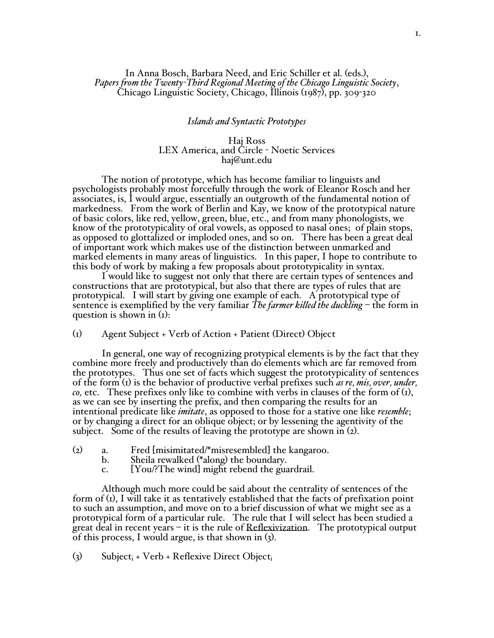## In Anna Bosch, Barbara Need, and Eric Schiller et al. (eds.), *Papers from the Twenty-Third Regional Meeting of the Chicago Linguistic Society*, Chicago Linguistic Society, Chicago, Illinois (1987), pp. 309-320

### *Islands and Syntactic Prototypes*

## Haj Ross LEX America, and Circle - Noetic Services haj@unt.edu

The notion of prototype, which has become familiar to linguists and psychologists probably most forcefully through the work of Eleanor Rosch and her associates, is, I would argue, essentially an outgrowth of the fundamental notion of markedness. From the work of Berlin and Kay, we know of the prototypical nature of basic colors, like red, yellow, green, blue, etc., and from many phonologists, we know of the prototypicality of oral vowels, as opposed to nasal ones; of plain stops, as opposed to glottalized or imploded ones, and so on. There has been a great deal of important work which makes use of the distinction between unmarked and marked elements in many areas of linguistics. In this paper, I hope to contribute to this body of work by making a few proposals about prototypicality in syntax.

I would like to suggest not only that there are certain types of sentences and constructions that are prototypical, but also that there are types of rules that are prototypical. I will start by giving one example of each. A prototypical type of sentence is exemplified by the very familiar *The farmer killed the duckling* – the form in question is shown in (1):

## (1) Agent Subject + Verb of Action + Patient (Direct) Object

In general, one way of recognizing protypical elements is by the fact that they combine more freely and productively than do elements which are far removed from the prototypes. Thus one set of facts which suggest the prototypicality of sentences of the form (1) is the behavior of productive verbal prefixes such *as re, mis, over, under, co,* etc. These prefixes only like to combine with verbs in clauses of the form of (1), as we can see by inserting the prefix, and then comparing the results for an intentional predicate like *imitate*, as opposed to those for a stative one like *resemble*; or by changing a direct for an oblique object; or by lessening the agentivity of the subject. Some of the results of leaving the prototype are shown in (2).

- (2) a. Fred [misimitated/\*misresembled] the kangaroo.
	- Sheila rewalked (\*along) the boundary.
	- c. [You/?The wind] might rebend the guardrail.

Although much more could be said about the centrality of sentences of the form of (1), I will take it as tentatively established that the facts of prefixation point to such an assumption, and move on to a brief discussion of what we might see as a prototypical form of a particular rule. The rule that I will select has been studied a great deal in recent years – it is the rule of Reflexivization. The prototypical output of this process, I would argue, is that shown in (3).

(3) Subject<sub>i</sub> + Verb + Reflexive Direct Object<sub>i</sub>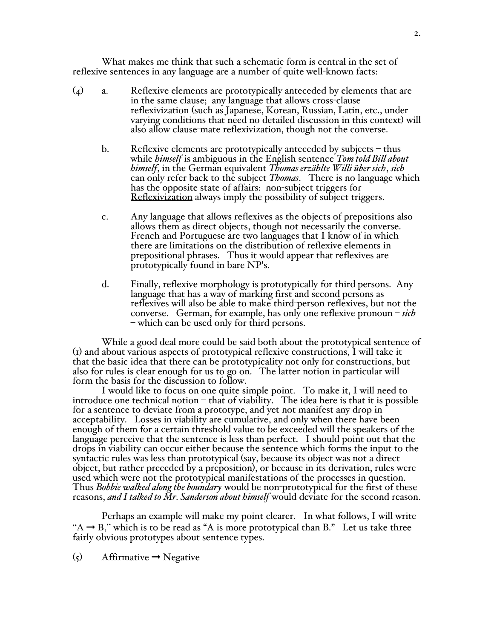What makes me think that such a schematic form is central in the set of reflexive sentences in any language are a number of quite well-known facts:

- (4) a. Reflexive elements are prototypically anteceded by elements that are in the same clause; any language that allows cross-clause reflexivization (such as Japanese, Korean, Russian, Latin, etc., under varying conditions that need no detailed discussion in this context) will also allow clause-mate reflexivization, though not the converse.
	- b. Reflexive elements are prototypically anteceded by subjects thus while *himself* is ambiguous in the English sentence *Tom told Bill about himself*, in the German equivalent *Thomas erzählte Willi über sich*, *sich* can only refer back to the subject *Thomas*. There is no language which has the opposite state of affairs: non-subject triggers for Reflexivization always imply the possibility of subject triggers.
	- c. Any language that allows reflexives as the objects of prepositions also French and Portuguese are two languages that I know of in which there are limitations on the distribution of reflexive elements in prepositional phrases. Thus it would appear that reflexives are prototypically found in bare NP's.
	- d. Finally, reflexive morphology is prototypically for third persons. Any language that has <sup>a</sup> way of marking first and second persons as reflexives will also be able to make third-person reflexives, but not the converse. German, for example, has only one reflexive pronoun – *sich* – which can be used only for third persons.

While a good deal more could be said both about the prototypical sentence of (1) and about various aspects of prototypical reflexive constructions, I will take it that the basic idea that there can be prototypicality not only for constructions, but also for rules is clear enough for us to go on. The latter notion in particular will

I would like to focus on one quite simple point. To make it, I will need to introduce one technical notion  $-\theta$  that of viability. The idea here is that it is possible for a sentence to deviate from a prototype, and yet not manifest any drop in acceptability. Losses in viability are cumulative, and only when there have been enough of them for a certain threshold value to be exceeded will the speakers of the language perceive that the sentence is less than perfect. I should point out that the drops in viability can occur either because the sentence which forms the input to the syntactic rules was less than prototypical (say, because its object was not a direct object, but rather preceded by a preposition), or because in its derivation, rules were used which were not the prototypical manifestations of the processes in question. Thus *Bobbie walked along the boundary* would be non-prototypical for the first of these reasons, *and I talked to Mr. Sanderson about himself* would deviate for the second reason.

Perhaps an example will make my point clearer. In what follows, I will write "A  $\rightarrow$  B," which is to be read as "A is more prototypical than B." Let us take three fairly obvious prototypes about sentence types.

 $(5)$  Affirmative  $\rightarrow$  Negative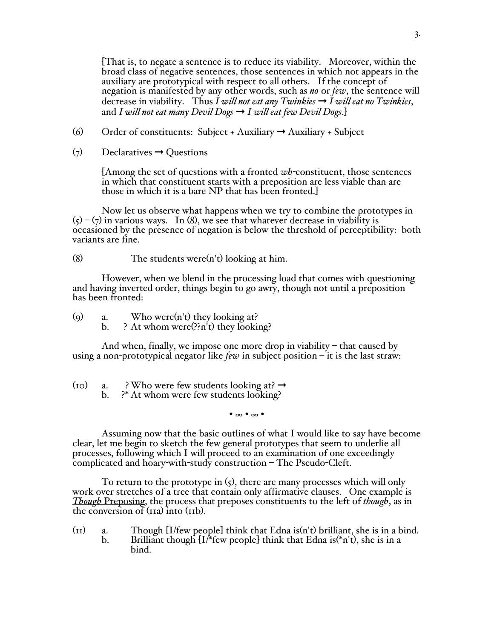[That is, to negate a sentence is to reduce its viability. Moreover, within the broad class of negative sentences, those sentences in which not appears in the auxiliary are prototypical with respect to all others. If the concept of negation is manifested by any other words, such as *no* or *few*, the sentence will decrease in viability. Thus *I will not eat any Twinkies* ➞ *I will eat no Twinkies*, and *I* will not eat many Devil Dogs  $\rightarrow$  *I* will eat few Devil Dogs.]

- (6) Order of constituents: Subject + Auxiliary  $\rightarrow$  Auxiliary + Subject
- $(7)$  Declaratives  $\rightarrow$  Questions

[Among the set of questions with a fronted *wh*-constituent, those sentences in which that constituent starts with a preposition are less viable than are those in which it is a bare NP that has been fronted.]

Now let us observe what happens when we try to combine the prototypes in  $(5) - (7)$  in various ways. In (8), we see that whatever decrease in viability is occasioned by the presence of negation is below the threshold of perceptibility: both variants are fine.

(8) The students were(n't) looking at him.

However, when we blend in the processing load that comes with questioning and having inverted order, things begin to go awry, though not until a preposition has been fronted:

(9) a. Who were(n't) they looking at?<br>b. ? At whom were(??n't) they looki b. ? At whom were(??n't) they looking?

And when, finally, we impose one more drop in viability  $-$  that caused by using a non-prototypical negator like *few* in subject position – it is the last straw:

(10) a. ? Who were few students looking at?  $\rightarrow$ <br>b. ?\* At whom were few students looking? ?\* At whom were few students looking?

• ∞ • ∞ •

Assuming now that the basic outlines of what I would like to say have become clear, let me begin to sketch the few general prototypes that seem to underlie all processes, following which I will proceed to an examination of one exceedingly complicated and hoary-with-study construction – The Pseudo-Cleft.

To return to the prototype in  $(5)$ , there are many processes which will only work over stretches of a tree that contain only affirmative clauses. One example is *Though* Preposing, the process that preposes constituents to the left of *though*, as in the conversion of  $(r_{1a})$  into  $(r_{1b})$ .

(11) a. Though [I/few people] think that Edna is(n't) brilliant, she is in a bind.<br>b. Brilliant though  $[I$ /\*few people] think that Edna is(\*n't), she is in a Brilliant though  $[I$ <sup>\*</sup>few people] think that Edna is(\*n't), she is in a bind.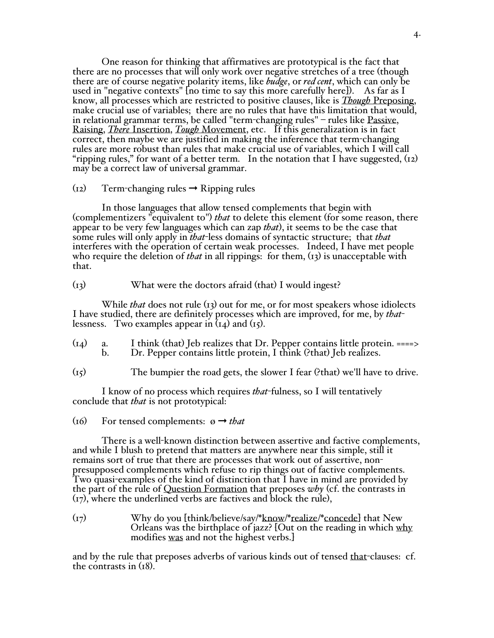One reason for thinking that affirmatives are prototypical is the fact that there are no processes that will only work over negative stretches of a tree (though there are of course negative polarity items, like *budge*, or *red cent*, which can only be used in "negative contexts" [no time to say this more carefully here]). As far as I<br>know, all processes which are restricted to positive clauses, like is *Though* Preposing, make crucial use of variables; there are no rules that have this limitation that would,<br>in relational grammar terms, be called "term-changing rules" – rules like Passive,<br>Raising, *There* Insertion, *Tough* Movement, etc. correct, then maybe we are justified in making the inference that term-changing "ripping rules," for want of a better term. In the notation that I have suggested,  $(i2)$ may be a correct law of universal grammar.

# $(i2)$  Term-changing rules  $\rightarrow$  Ripping rules

In those languages that allow tensed complements that begin with (complementizers "equivalent to") *that* to delete this element (for some reason, there appear to be very few languages which can zap *that*), it seems to be the case that some rules will only apply in *that*-less domains of syntactic structure; that *that* interferes with the operation of certain weak processes. Indeed, I have met people who require the deletion of *that* in all rippings: for them, (13) is unacceptable with that.

## (13) What were the doctors afraid (that) I would ingest?

While *that* does not rule (13) out for me, or for most speakers whose idiolects I have studied, there are definitely processes which are improved, for me, by *that*lessness. Two examples appear in  $(I_4)$  and  $(I_5)$ .

- $(14)$  a. I think (that) Jeb realizes that Dr. Pepper contains little protein. ====><br>b. Dr. Pepper contains little protein. I think (?that) Ieb realizes. Dr. Pepper contains little protein, I think (?that) Jeb realizes.
- (15) The bumpier the road gets, the slower I fear (?that) we'll have to drive.

I know of no process which requires *that*-fulness, so I will tentatively conclude that *that* is not prototypical:

(16) For tensed complements:  $\varnothing \rightarrow \text{that}$ 

There is a well-known distinction between assertive and factive complements, and while I blush to pretend that matters are anywhere near this simple, still it remains sort of true that there are processes that work out of assertive, nonpresupposed complements which refuse to rip things out of factive complements. Two quasi-examples of the kind of distinction that I have in mind are provided by the part of the rule of Question Formation that preposes *why* (cf. the contrasts in (17), where the underlined verbs are factives and block the rule),

(17) Why do you [think/believe/say/\*know/\*realize/\*concede] that New Orleans was the birthplace of jazz? [Out on the reading in which why modifies was and not the highest verbs.]

and by the rule that preposes adverbs of various kinds out of tensed that-clauses: cf. the contrasts in (18).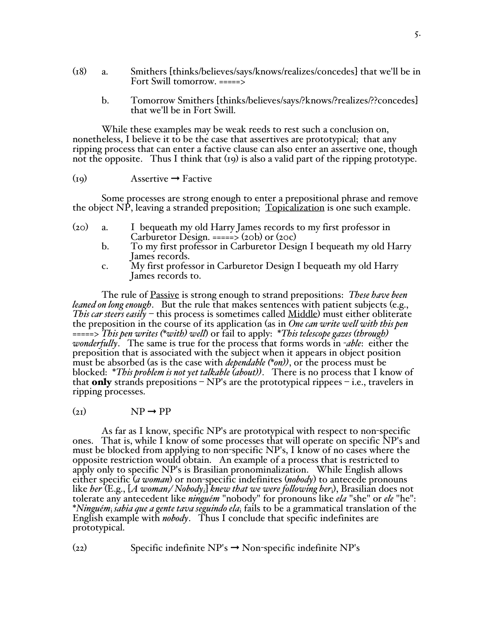- (18) a. Smithers [thinks/believes/says/knows/realizes/concedes] that we'll be in Fort Swill tomorrow. =====>
	- b. Tomorrow Smithers [thinks/believes/says/?knows/?realizes/??concedes] that we'll be in Fort Swill.

While these examples may be weak reeds to rest such <sup>a</sup> conclusion on, nonetheless, <sup>I</sup> believe it to be the case that assertives are prototypical; that any ripping process that can enter a factive clause can also enter an assertive one, though not the opposite. Thus I think that (19) is also a valid part of the ripping prototype.

# $(19)$  Assertive  $\rightarrow$  Factive

Some processes are strong enough to enter a prepositional phrase and remove the object NP, leaving a stranded preposition; Topicalization is one such example.

- (20) a. I bequeath my old Harry James records to my first professor in Carburetor Design. =====>  $(20b)$  or  $(20c)$ 
	- b. To my first professor in Carburetor Design I bequeath my old Harry James records.
	- c. My first professor in Carburetor Design I bequeath my old Harry James records to.

The rule of Passive is strong enough to strand prepositions: *These have been leaned on long enough*. But the rule that makes sentences with patient subjects (e.g., *This car steers easily* – this process is sometimes called Middle) must either obliterate the preposition in the course of its application (as in *One can write well with this pen* =====> *This pen writes (\*with) well*) or fail to apply: \**This telescope gazes (through) wonderfully*. The same is true for the process that forms words in -*able*: either the preposition that is associated with the subject when it appears in object position must be absorbed (as is the case with *dependable (\*on))*, or the process must be blocked: \**This problem is not yet talkable (about))*. There is no process that I know of that **only** strands prepositions –  $NP's$  are the prototypical rippees – i.e., travelers in ripping processes.

# $(2I)$  NP  $\rightarrow$  PP

As far as I know, specific NP's are prototypical with respect to non-specific ones. That is, while I know of some processes that will operate on specific NP's and must be blocked from applying to non-specific NP's, I know of no cases where the opposite restriction would obtain. An example of a process that is restricted to apply only to specific NP's is Brasilian pronominalization. While English allows either specific (*a woman*) or non-specific indefinites (*nobody*) to antecede pronouns like *her* (E.g., [*A womani/ Nobodyi*] *knew that we were following her*i), Brasilian does not \**Ninguém<sub>i</sub> sabia que a gente tava seguindo ela*, fails to be a grammatical translation of the English example with *nobody*. Thus I conclude that specific indefinites are prototypical.

 $(22)$  Specific indefinite NP's  $\rightarrow$  Non-specific indefinite NP's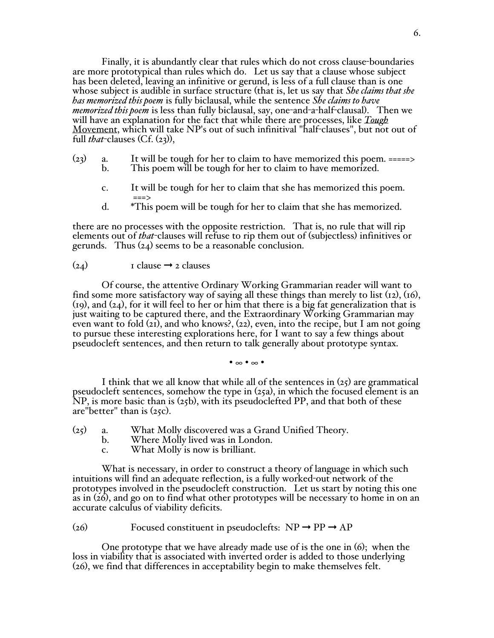Finally, it is abundantly clear that rules which do not cross clause-boundaries are more prototypical than rules which do. Let us say that a clause whose subject has been deleted, leaving an infinitive or gerund, is less of a full clause than is one whose subject is audible in surface structure (that is, let us say that *She claims that she has memorized this poem* is fully biclausal, while the sentence *She claims to have memorized this poem* is less than fully biclausal, say, one-and-a-half-clausal). Then we will have an explanation for the fact that while there are processes, like *Tough* Movement, which will take NP's out of such infinitival "half-clauses", but not out of full *that*-clauses (Cf. (23)),

- ( $23$ ) a. It will be tough for her to claim to have memorized this poem. =====><br>b. This poem will be tough for her to claim to have memorized. This poem will be tough for her to claim to have memorized.
	- c. It will be tough for her to claim that she has memorized this poem.<br>  $\begin{aligned}\n\text{d.} \quad & \text{``This poem will be tough for her to claim that she has memorized.}\n\end{aligned}$
	- \*This poem will be tough for her to claim that she has memorized.

there are no processes with the opposite restriction. That is, no rule that will rip elements out of *that*-clauses will refuse to rip them out of (subjectless) infinitives or gerunds. Thus (24) seems to be a reasonable conclusion.

### $(24)$  I clause  $\rightarrow$  2 clauses

Of course, the attentive Ordinary Working Grammarian reader will want to find some more satisfactory way of saying all these things than merely to list  $(i2)$ ,  $(i6)$ ,  $(19)$ , and  $(24)$ , for it will feel to her or him that there is a big fat generalization that is just waiting to be captured there, and the Extraordinary Working Grammarian may even want to fold  $(2i)$ , and who knows?,  $(22)$ , even, into the recipe, but I am not going to pursue these interesting explorations here, for I want to say a few things about pseudocleft sentences, and then return to talk generally about prototype syntax.

• ∞ • ∞ •

I think that we all know that while all of the sentences in  $(25)$  are grammatical pseudocleft sentences, somehow the type in  $(25a)$ , in which the focused element is an  $NP$ , is more basic than is (25b), with its pseudoclefted PP, and that both of these are"better" than is (25c).

- (25) a. What Molly discovered was <sup>a</sup> Grand Unified Theory. b. Where Molly lived was in London.
	-
	- c. What Molly is now is brilliant.

What is necessary, in order to construct a theory of language in which such intuitions will find an adequate reflection, is a fully worked-out network of the prototypes involved in the pseudocleft construction. Let us start by noting this one as in (26), and go on to find what other prototypes will be necessary to home in on an accurate calculus of viability deficits.

(26) Focused constituent in pseudoclefts:  $NP \rightarrow PP \rightarrow AP$ 

One prototype that we have already made use of is the one in (6); when the loss in viability that is associated with inverted order is added to those underlying  $(a)$ , we find that differences in acceptability begin to make themselves felt.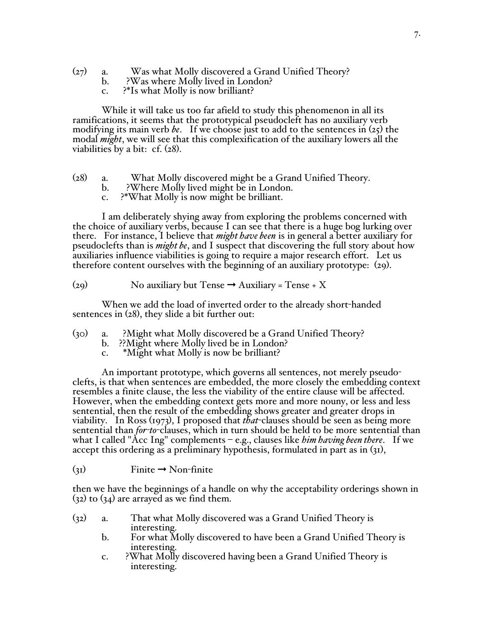- (27) a. Was what Molly discovered a Grand Unified Theory?
	- b. ?Was where Molly lived in London?
	- c. ?\*Is what Molly is now brilliant?

While it will take us too far afield to study this phenomenon in all its ramifications, it seems that the prototypical pseudocleft has no auxiliary verb modifying its main verb *be*. If we choose just to add to the sentences in (25) the modal *might*, we will see that this complexification of the auxiliary lowers all the viabilities by a bit: cf. (28).

- (28) a. What Molly discovered might be <sup>a</sup> Grand Unified Theory. b. ?Where Molly lived might be in London. c. ?\*What Molly is now might be brilliant.
	-
	-

I am deliberately shying away from exploring the problems concerned with the choice of auxiliary verbs, because I can see that there is a huge bog lurking over there. For instance, I believe that *might have been* is in general a better auxiliary for pseudoclefts than is *might be*, and I suspect that discovering the full story about how auxiliaries influence viabilities is going to require a major research effort. Let us therefore content ourselves with the beginning of an auxiliary prototype: (29).

(29) No auxiliary but Tense  $\rightarrow$  Auxiliary = Tense + X

When we add the load of inverted order to the already short-handed sentences in (28), they slide a bit further out:

- (30) a. ?Might what Molly discovered be a Grand Unified Theory?
	- b. ??Might where Molly lived be in London?
	- c. \*Might what Molly is now be brilliant?

An important prototype, which governs all sentences, not merely pseudoclefts, is that when sentences are embedded, the more closely the embedding context resembles a finite clause, the less the viability of the entire clause will be affected. However, when the embedding context gets more and more nouny, or less and less sentential, then the result of the embedding shows greater and greater drops in viability. In Ross (1973), I proposed that *that*-clauses should be seen as being more sentential than *for-to*-clauses, which in turn should be held to be more sentential than what I called "Acc Ing" complements – e.g., clauses like *him having been there*. If we accept this ordering as a preliminary hypothesis, formulated in part as in (31),

 $\text{(31)}$  Finite  $\rightarrow$  Non-finite

then we have the beginnings of a handle on why the acceptability orderings shown in  $(32)$  to  $(34)$  are arrayed as we find them.

- (32) a. That what Molly discovered was a Grand Unified Theory is interesting.
	- b. For what Molly discovered to have been a Grand Unified Theory is
	- interesting. c. ?What Molly discovered having been <sup>a</sup> Grand Unified Theory is interesting.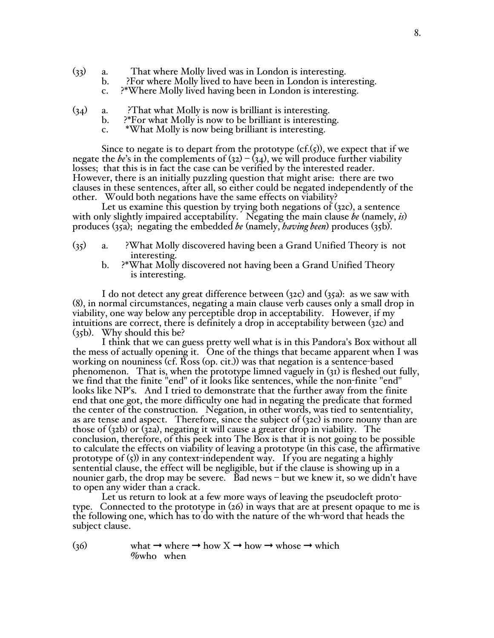- 
- (33) a. That where Molly lived was in London is interesting. b. ?For where Molly lived to have been in London is interesting. c. ?\*Where Molly lived having been in London is interesting.
	-
- (34) a. ?That what Molly is now is brilliant is interesting.<br>b. ?\*For what Molly is now to be brilliant is interesting.<br>c. \*What Molly is now being brilliant is interesting.
	-
	-

Since to negate is to depart from the prototype (cf.(5)), we expect that if we negate the *be*'s in the complements of (32) – (34), we will produce further viability losses; that this is in fact the case can be verified by the interested reader.<br>However, there is an initially puzzling question that might arise: there are two clauses in these sentences, after all, so either could be negated independently of the other. Would both negations have the same effects on viability?

Let us examine this question by trying both negations of (32c), a sentence with only slightly impaired acceptability. Negating the main clause *be* (namely, *is*) produces (35a); negating the embedded *be* (namely, *having been*) produces (35b).

- (35) a. ?What Molly discovered having been a Grand Unified Theory is not
	- b. ?\*What Molly discovered not having been a Grand Unified Theory is interesting.

I do not detect any great difference between (32c) and (35a): as we saw with (8), in normal circumstances, negating a main clause verb causes only a small drop in viability, one way below any perceptible drop in acceptability. However, if my intuitions are correct, there is definitely a drop in acceptability between (32c) and (35b). Why should this be?

I think that we can guess pretty well what is in this Pandora's Box without all the mess of actually opening it. One of the things that became apparent when I was working on nouniness (cf. Ross (op. cit.)) was that negation is a sentence-based phenomenon. That is, when the prototype limned vaguely in (31) is fleshed out fully, we find that the finite "end" of it looks like sentences, while the non-finite "end" looks like NP's. And I tried to demonstrate that the end that one got, the more difficulty one had in negating the predicate that formed the center of the construction. Negation, in other words, was tied to sententiality, as are tense and aspect. Therefore, since the subject of (32c) is more nouny than are those of (32b) or (32a), negating it will cause a greater drop in viability. The conclusion, therefore, of this peek into The Box is that it is not going to be possible to calculate the effects on viability of leaving a prototype (in this case, the affirmative prototype of (5)) in any context-independent way. If you are negating a highly sentential clause, the effect will be negligible, but if the clause is showing up in a nounier garb, the drop may be severe. Bad news – but we knew it, so we didn't have to open any wider than a crack.

Let us return to look at a few more ways of leaving the pseudocleft proto-<br>type. Connected to the prototype in  $(26)$  in ways that are at present opaque to me is the following one, which has to do with the nature of the wh-word that heads the subject clause.

(36) what  $\rightarrow$  where  $\rightarrow$  how X  $\rightarrow$  how  $\rightarrow$  whose  $\rightarrow$  which %who when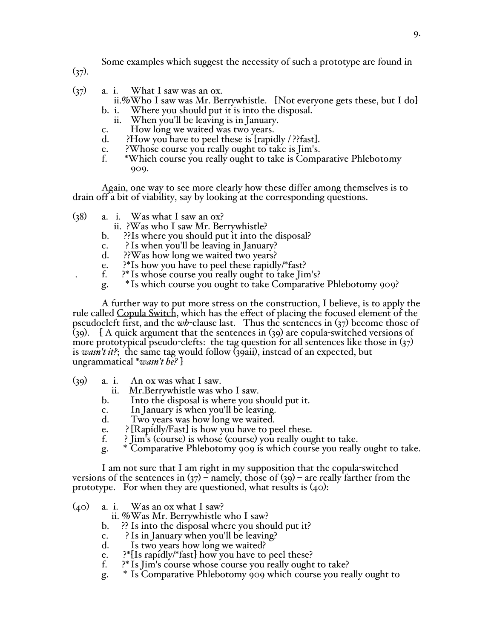Some examples which suggest the necessity of such a prototype are found in

 $(37)$ .

- 
- (37) a. i. What I saw was an ox.<br>ii.%Who I saw was Mr. Berrywhistle. [Not everyone gets these, but I do]<br>b. i. Where you should put it is into the disposal.
	-
	-
	-
	-
	-
	- ii. When you'll be leaving is in January.<br>
	c. How long we waited was two years.<br>
	d. ?How you have to peel these is [rapidly / ??fast].<br>
	e. ?Whose course you really ought to take is Jim's.<br>
	f. \*Which course you really ought 909.

Again, one way to see more clearly how these differ among themselves is to drain off a bit of viability, say by looking at the corresponding questions.

- (38) a. i. Was what I saw an ox?
	- ii. ?Was who I saw Mr. Berrywhistle?
	- b. ??Is where you should put it into the disposal?
	- c. ? Is when you'll be leaving in January?<br>d. ??Was how long we waited two years?
	-
- ??Was how long we waited two years?<br>?\*Is how you have to peel these rapidly/\*fast? e. ?\*Is how you have to peel these rapidly/\*fast?<br>f. ?\*Is whose course you really ought to take Jim's?
	-
	- g. \* Is which course you ought to take Comparative Phlebotomy 909?

A further way to put more stress on the construction, I believe, is to apply the rule called Copula Switch, which has the effect of placing the focused element of the pseudocleft first, and the *wh*-clause last. Thus the sentences in (37) become those of (39). [ A quick argument that the sentences in (39) are copula-switched versions of more prototypical pseudo-clefts: the tag question for all sentences like those in  $(37)$ is *wasn't it?*; the same tag would follow (39aii), instead of an expected, but ungrammatical \**wasn't he?* ]

- -
	-
	-
	-
	-
	-
- (39) a. i. An ox was what I saw.<br>
ii. Mr.Berrywhistle was who I saw.<br>
b. Into the disposal is where you should put it.<br>
c. In January is when you'll be leaving.<br>
d. Two years was how long we waited.<br>
e. ?[Rapidly/Fast] is

I am not sure that I am right in my supposition that the copula-switched versions of the sentences in  $(37)$  – namely, those of  $(39)$  – are really farther from the prototype. For when they are questioned, what results is  $(40)$ :

 $(40)$  a. i. Was an ox what I saw?

ii. %Was Mr. Berrywhistle who I saw?

- b. ?? Is into the disposal where you should put it?
- c. ? Is in January when you'll be leaving?<br>d. Is two years how long we waited?
- Is two years how long we waited?
- e. ?\*{Is rapidly/\*fast} how you have to peel these?<br>f. ?\* Is Jim's course whose course you really ought
- f. ?\* Is Jim's course whose course you really ought to take?
- g. \* Is Comparative Phlebotomy 909 which course you really ought to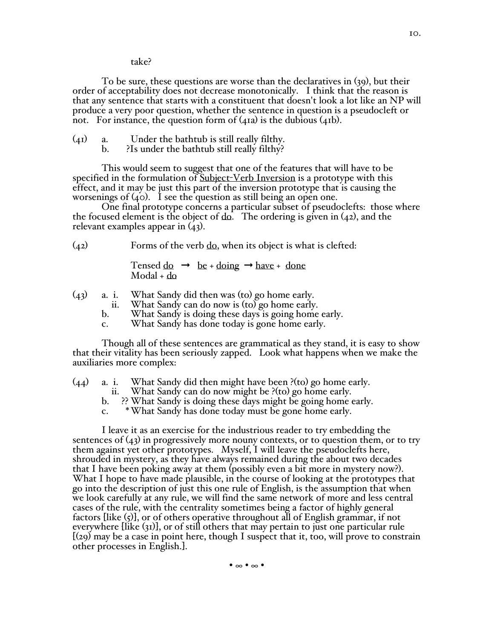take?

To be sure, these questions are worse than the declaratives in (39), but their order of acceptability does not decrease monotonically. I think that the reason is that any sentence that starts with a constituent that doesn't look a lot like an NP will produce a very poor question, whether the sentence in question is a pseudocleft or not. For instance, the question form of (41a) is the dubious (41b).

- (41) a. Under the bathtub is still really filthy. b. ?Is under the bathtub still really filthy?
	-

This would seem to suggest that one of the features that will have to be specified in the formulation of Subject-Verb Inversion is a prototype with this effect, and it may be just this part of the inversion prototype that is causing the

worsenings of (40). <sup>I</sup> see the question as still being an open one. One final prototype concerns <sup>a</sup> particular subset of pseudoclefts: those where the focused element is the object of  $d\rho$ . The ordering is given in (42), and the relevant examples appear in (43).

(42) Forms of the verb do, when its object is what is clefted:

Tensed  $\text{do} \rightarrow \text{be} + \text{doing} \rightarrow \text{have} + \text{done}$ Modal + do

- (43) a. i. What Sandy did then was (to) go home early.
	- What Sandy can do now is (to) go home early.
	- b. What Sandy is doing these days is going home early.
	- c. What Sandy has done today is gone home early.

Though all of these sentences are grammatical as they stand, it is easy to show that their vitality has been seriously zapped. Look what happens when we make the auxiliaries more complex:

- (44) a. i. What Sandy did then might have been ?(to) go home early.
	- ii. What Sandy can do now might be ?(to) go home early.
	- b. ?? What Sandy is doing these days might be going home early.
	- c. \*What Sandy has done today must be gone home early.

I leave it as an exercise for the industrious reader to try embedding the sentences of (43) in progressively more nouny contexts, or to question them, or to try them against yet other prototypes. Myself, I will leave the pseudoclefts here, shrouded in mystery, as they have always remained during the about two decades that I have been poking away at them (possibly even a bit more in mystery now?). What I hope to have made plausible, in the course of looking at the prototypes that go into the description of just this one rule of English, is the assumption that when we look carefully at any rule, we will find the same network of more and less central cases of the rule, with the centrality sometimes being a factor of highly general factors [like (5)], or of others operative throughout all of English grammar, if not everywhere [like (31)], or of still others that may pertain to just one particular rule  $(29)$  may be a case in point here, though I suspect that it, too, will prove to constrain other processes in English.].

• ∞ • ∞ •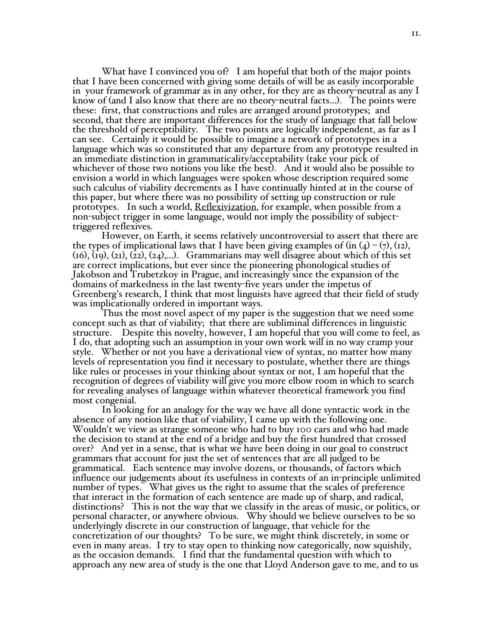What have I convinced you of? I am hopeful that both of the major points that I have been concerned with giving some details of will be as easily incorporable in your framework of grammar as in any other, for they are as theory-neutral as any I know of (and I also know that there are no theory-neutral facts...). The points were these: first, that constructions and rules are arranged around prototypes; and second, that there are important differences for the study of language that fall below the threshold of perceptibility. The two points are logically independent, as far as I can see. Certainly it would be possible to imagine a network of prototypes in a language which was so constituted that any departure from any prototype resulted in an immediate distinction in grammaticality/acceptability (take your pick of whichever of those two notions you like the best). And it would also be possible to envision a world in which languages were spoken whose description required some such calculus of viability decrements as I have continually hinted at in the course of this paper, but where there was no possibility of setting up construction or rule prototypes. In such a world, Reflexivization, for example, when possible from a non-subject trigger in some language, would not imply the possibility of subject- triggered reflexives. However, on Earth, it seems relatively uncontroversial to assert that there are

the types of implicational laws that I have been giving examples of (in  $(4)$  –  $(7)$ , (12),  $(16)$ , (19), (21), (22), (24),...). Grammarians may well disagree about which of this set are correct implications, but ever since the pioneering phonological studies of Jakobson and Trubetzkoy in Prague, and increasingly since the expansion of the domains of markedness in the last twenty-five years under the impetus of Greenberg's research, I think that most linguists have agreed that their field of study

was implicationally ordered in important ways. Thus the most novel aspect of my paper is the suggestion that we need some concept such as that of viability; that there are subliminal differences in linguistic structure. Despite this novelty, however, I am hopeful that you will come to feel, as I do, that adopting such an assumption in your own work will in no way cramp your style. Whether or not you have <sup>a</sup> derivational view of syntax, no matter how many levels of representation you find it necessary to postulate, whether there are things like rules or processes in your thinking about syntax or not, I am hopeful that the recognition of degrees of viability will give you more elbow room in which to search for revealing analyses of language within whatever theoretical framework you find

most congenial.<br>In looking for an analogy for the way we have all done syntactic work in the<br>absence of any notion like that of viability, I came up with the following one. Wouldn't we view as strange someone who had to buy 100 cars and who had made the decision to stand at the end of a bridge and buy the first hundred that crossed over? And yet in a sense, that is what we have been doing in our goal to construct grammars that account for just the set of sentences that are all judged to be grammatical. Each sentence may involve dozens, or thousands, of factors which influence our judgements about its usefulness in contexts of an in-principle unlimited number of types. What gives us the right to assume that the scales of preference that interact in the formation of each sentence are made up of sharp, and radical, distinctions? This is not the way that we classify in the areas of music, or politics, or personal character, or anywhere obvious. Why should we believe ourselves to be so underlyingly discrete in our construction of language, that vehicle for the concretization of our thoughts? To be sure, we might think discretely, in some or even in many areas. <sup>I</sup> try to stay open to thinking now categorically, now squishily, as the occasion demands. <sup>I</sup> find that the fundamental question with which to approach any new area of study is the one that Lloyd Anderson gave to me, and to us